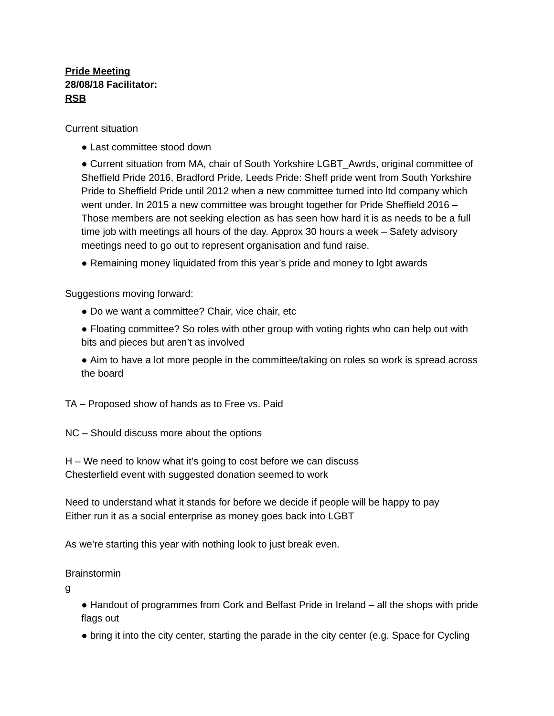# **Pride Meeting 28/08/18 Facilitator: RSB**

Current situation

• Last committee stood down

• Current situation from MA, chair of South Yorkshire LGBT Awrds, original committee of Sheffield Pride 2016, Bradford Pride, Leeds Pride: Sheff pride went from South Yorkshire Pride to Sheffield Pride until 2012 when a new committee turned into ltd company which went under. In 2015 a new committee was brought together for Pride Sheffield 2016 – Those members are not seeking election as has seen how hard it is as needs to be a full time job with meetings all hours of the day. Approx 30 hours a week – Safety advisory meetings need to go out to represent organisation and fund raise.

● Remaining money liquidated from this year's pride and money to lgbt awards

Suggestions moving forward:

- Do we want a committee? Chair, vice chair, etc
- Floating committee? So roles with other group with voting rights who can help out with bits and pieces but aren't as involved
- Aim to have a lot more people in the committee/taking on roles so work is spread across the board

TA – Proposed show of hands as to Free vs. Paid

NC – Should discuss more about the options

H – We need to know what it's going to cost before we can discuss Chesterfield event with suggested donation seemed to work

Need to understand what it stands for before we decide if people will be happy to pay Either run it as a social enterprise as money goes back into LGBT

As we're starting this year with nothing look to just break even.

## Brainstormin

g

- Handout of programmes from Cork and Belfast Pride in Ireland all the shops with pride flags out
- bring it into the city center, starting the parade in the city center (e.g. Space for Cycling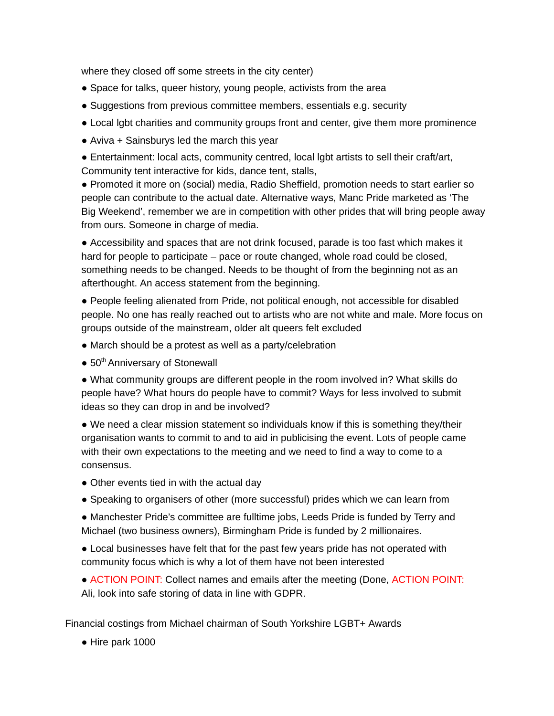where they closed off some streets in the city center)

- Space for talks, queer history, young people, activists from the area
- Suggestions from previous committee members, essentials e.g. security
- Local lgbt charities and community groups front and center, give them more prominence
- $\bullet$  Aviva + Sainsburys led the march this year
- Entertainment: local acts, community centred, local lgbt artists to sell their craft/art, Community tent interactive for kids, dance tent, stalls,

● Promoted it more on (social) media, Radio Sheffield, promotion needs to start earlier so people can contribute to the actual date. Alternative ways, Manc Pride marketed as 'The Big Weekend', remember we are in competition with other prides that will bring people away from ours. Someone in charge of media.

● Accessibility and spaces that are not drink focused, parade is too fast which makes it hard for people to participate – pace or route changed, whole road could be closed, something needs to be changed. Needs to be thought of from the beginning not as an afterthought. An access statement from the beginning.

● People feeling alienated from Pride, not political enough, not accessible for disabled people. No one has really reached out to artists who are not white and male. More focus on groups outside of the mainstream, older alt queers felt excluded

- March should be a protest as well as a party/celebration
- 50<sup>th</sup> Anniversary of Stonewall

● What community groups are different people in the room involved in? What skills do people have? What hours do people have to commit? Ways for less involved to submit ideas so they can drop in and be involved?

• We need a clear mission statement so individuals know if this is something they/their organisation wants to commit to and to aid in publicising the event. Lots of people came with their own expectations to the meeting and we need to find a way to come to a consensus.

- Other events tied in with the actual day
- Speaking to organisers of other (more successful) prides which we can learn from

● Manchester Pride's committee are fulltime jobs, Leeds Pride is funded by Terry and Michael (two business owners), Birmingham Pride is funded by 2 millionaires.

● Local businesses have felt that for the past few years pride has not operated with community focus which is why a lot of them have not been interested

● ACTION POINT: Collect names and emails after the meeting (Done, ACTION POINT: Ali, look into safe storing of data in line with GDPR.

Financial costings from Michael chairman of South Yorkshire LGBT+ Awards

● Hire park 1000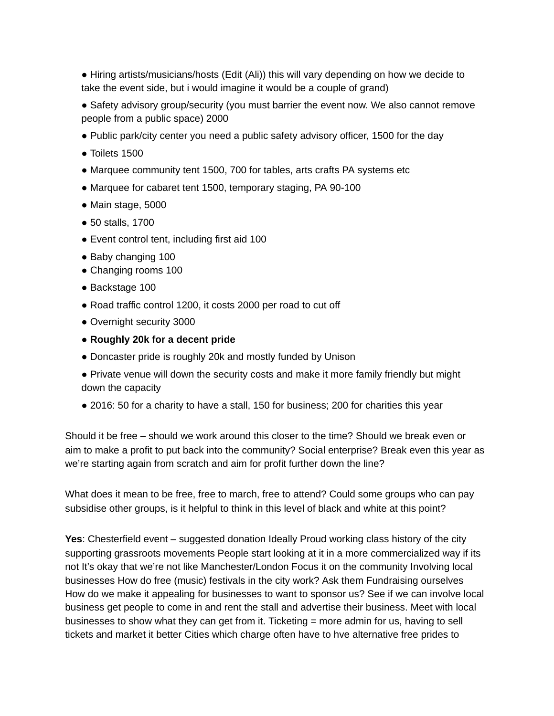● Hiring artists/musicians/hosts (Edit (Ali)) this will vary depending on how we decide to take the event side, but i would imagine it would be a couple of grand)

• Safety advisory group/security (you must barrier the event now. We also cannot remove people from a public space) 2000

- Public park/city center you need a public safety advisory officer, 1500 for the day
- $\bullet$  Toilets 1500
- Marquee community tent 1500, 700 for tables, arts crafts PA systems etc
- Marquee for cabaret tent 1500, temporary staging, PA 90-100
- Main stage, 5000
- 50 stalls, 1700
- Event control tent, including first aid 100
- Baby changing 100
- Changing rooms 100
- Backstage 100
- Road traffic control 1200, it costs 2000 per road to cut off
- Overnight security 3000
- **● Roughly 20k for a decent pride**
- Doncaster pride is roughly 20k and mostly funded by Unison
- Private venue will down the security costs and make it more family friendly but might down the capacity
- 2016: 50 for a charity to have a stall, 150 for business; 200 for charities this year

Should it be free – should we work around this closer to the time? Should we break even or aim to make a profit to put back into the community? Social enterprise? Break even this year as we're starting again from scratch and aim for profit further down the line?

What does it mean to be free, free to march, free to attend? Could some groups who can pay subsidise other groups, is it helpful to think in this level of black and white at this point?

**Yes**: Chesterfield event – suggested donation Ideally Proud working class history of the city supporting grassroots movements People start looking at it in a more commercialized way if its not It's okay that we're not like Manchester/London Focus it on the community Involving local businesses How do free (music) festivals in the city work? Ask them Fundraising ourselves How do we make it appealing for businesses to want to sponsor us? See if we can involve local business get people to come in and rent the stall and advertise their business. Meet with local businesses to show what they can get from it. Ticketing = more admin for us, having to sell tickets and market it better Cities which charge often have to hve alternative free prides to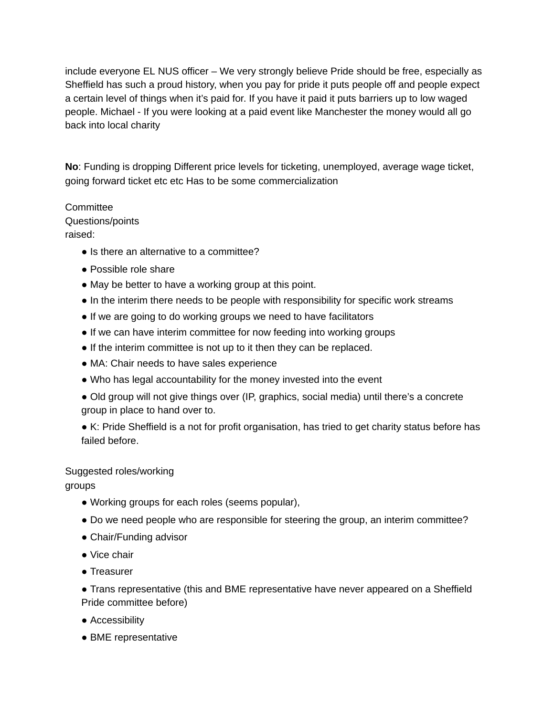include everyone EL NUS officer – We very strongly believe Pride should be free, especially as Sheffield has such a proud history, when you pay for pride it puts people off and people expect a certain level of things when it's paid for. If you have it paid it puts barriers up to low waged people. Michael - If you were looking at a paid event like Manchester the money would all go back into local charity

**No**: Funding is dropping Different price levels for ticketing, unemployed, average wage ticket, going forward ticket etc etc Has to be some commercialization

#### **Committee**

Questions/points

raised:

- Is there an alternative to a committee?
- Possible role share
- May be better to have a working group at this point.
- In the interim there needs to be people with responsibility for specific work streams
- If we are going to do working groups we need to have facilitators
- If we can have interim committee for now feeding into working groups
- If the interim committee is not up to it then they can be replaced.
- MA: Chair needs to have sales experience
- Who has legal accountability for the money invested into the event
- Old group will not give things over (IP, graphics, social media) until there's a concrete group in place to hand over to.
- K: Pride Sheffield is a not for profit organisation, has tried to get charity status before has failed before.

## Suggested roles/working

groups

- Working groups for each roles (seems popular),
- Do we need people who are responsible for steering the group, an interim committee?
- Chair/Funding advisor
- Vice chair
- Treasurer

● Trans representative (this and BME representative have never appeared on a Sheffield Pride committee before)

- Accessibility
- BME representative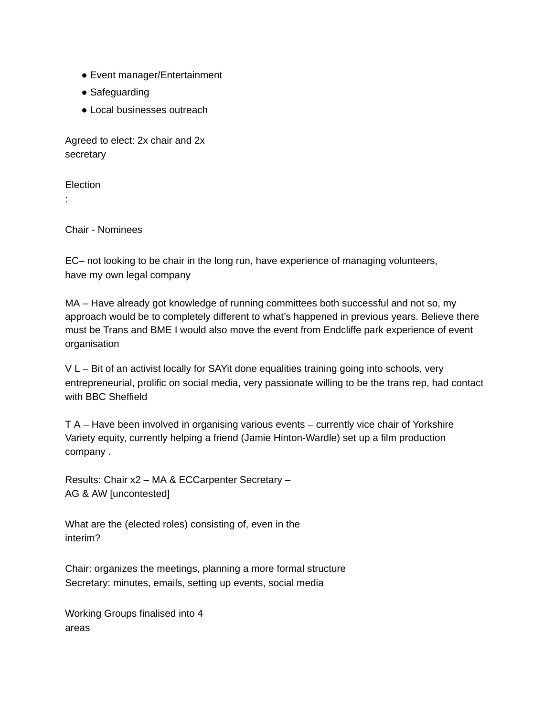- Event manager/Entertainment
- Safeguarding
- Local businesses outreach

Agreed to elect: 2x chair and 2x secretary

Election

:

Chair - Nominees

EC– not looking to be chair in the long run, have experience of managing volunteers, have my own legal company

MA – Have already got knowledge of running committees both successful and not so, my approach would be to completely different to what's happened in previous years. Believe there must be Trans and BME I would also move the event from Endcliffe park experience of event organisation

V L – Bit of an activist locally for SAYit done equalities training going into schools, very entrepreneurial, prolific on social media, very passionate willing to be the trans rep, had contact with BBC Sheffield

T A – Have been involved in organising various events – currently vice chair of Yorkshire Variety equity, currently helping a friend (Jamie Hinton-Wardle) set up a film production company .

Results: Chair x2 – MA & ECCarpenter Secretary – AG & AW [uncontested]

What are the (elected roles) consisting of, even in the interim?

Chair: organizes the meetings, planning a more formal structure Secretary: minutes, emails, setting up events, social media

Working Groups finalised into 4 areas